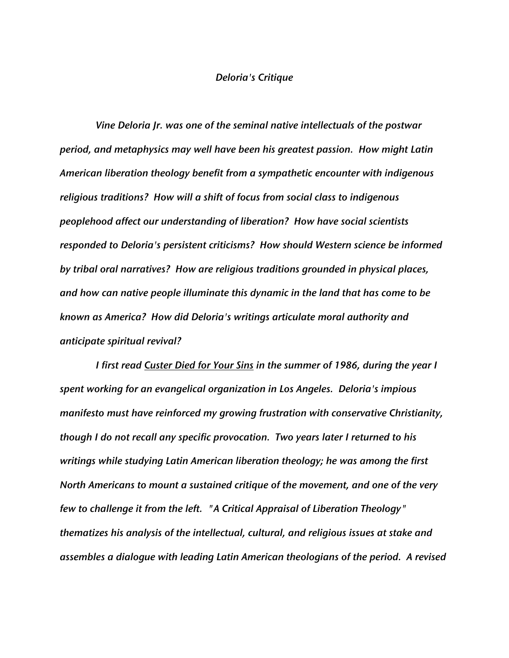## *Deloria's Critique*

*Vine Deloria Jr. was one of the seminal native intellectuals of the postwar period, and metaphysics may well have been his greatest passion. How might Latin American liberation theology benefit from a sympathetic encounter with indigenous religious traditions? How will a shift of focus from social class to indigenous peoplehood affect our understanding of liberation? How have social scientists responded to Deloria's persistent criticisms? How should Western science be informed by tribal oral narratives? How are religious traditions grounded in physical places, and how can native people illuminate this dynamic in the land that has come to be known as America? How did Deloria's writings articulate moral authority and anticipate spiritual revival?*

*I first read Custer Died for Your Sins in the summer of 1986, during the year I spent working for an evangelical organization in Los Angeles. Deloria's impious manifesto must have reinforced my growing frustration with conservative Christianity, though I do not recall any specific provocation. Two years later I returned to his writings while studying Latin American liberation theology; he was among the first North Americans to mount a sustained critique of the movement, and one of the very few to challenge it from the left. "A Critical Appraisal of Liberation Theology" thematizes his analysis of the intellectual, cultural, and religious issues at stake and assembles a dialogue with leading Latin American theologians of the period. A revised*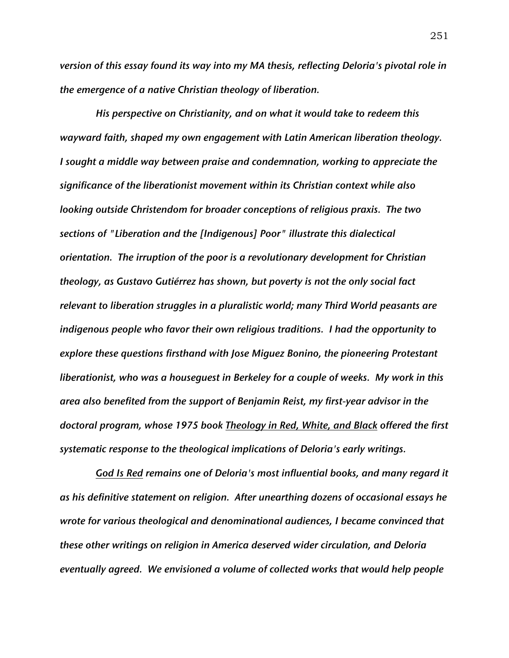*version of this essay found its way into my MA thesis, reflecting Deloria's pivotal role in the emergence of a native Christian theology of liberation.*

*His perspective on Christianity, and on what it would take to redeem this wayward faith, shaped my own engagement with Latin American liberation theology. I sought a middle way between praise and condemnation, working to appreciate the significance of the liberationist movement within its Christian context while also looking outside Christendom for broader conceptions of religious praxis. The two sections of "Liberation and the [Indigenous] Poor" illustrate this dialectical orientation. The irruption of the poor is a revolutionary development for Christian theology, as Gustavo Gutiérrez has shown, but poverty is not the only social fact relevant to liberation struggles in a pluralistic world; many Third World peasants are indigenous people who favor their own religious traditions. I had the opportunity to explore these questions firsthand with Jose Miguez Bonino, the pioneering Protestant liberationist, who was a houseguest in Berkeley for a couple of weeks. My work in this area also benefited from the support of Benjamin Reist, my first-year advisor in the doctoral program, whose 1975 book Theology in Red, White, and Black offered the first systematic response to the theological implications of Deloria's early writings.*

*God Is Red remains one of Deloria's most influential books, and many regard it as his definitive statement on religion. After unearthing dozens of occasional essays he wrote for various theological and denominational audiences, I became convinced that these other writings on religion in America deserved wider circulation, and Deloria eventually agreed. We envisioned a volume of collected works that would help people*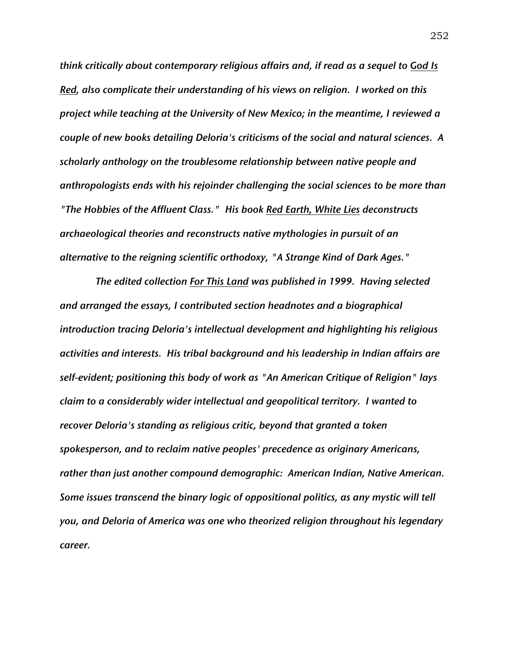*think critically about contemporary religious affairs and, if read as a sequel to God Is Red, also complicate their understanding of his views on religion. I worked on this project while teaching at the University of New Mexico; in the meantime, I reviewed a couple of new books detailing Deloria's criticisms of the social and natural sciences. A scholarly anthology on the troublesome relationship between native people and anthropologists ends with his rejoinder challenging the social sciences to be more than "The Hobbies of the Affluent Class." His book Red Earth, White Lies deconstructs archaeological theories and reconstructs native mythologies in pursuit of an alternative to the reigning scientific orthodoxy, "A Strange Kind of Dark Ages."*

*The edited collection For This Land was published in 1999. Having selected and arranged the essays, I contributed section headnotes and a biographical introduction tracing Deloria's intellectual development and highlighting his religious activities and interests. His tribal background and his leadership in Indian affairs are self-evident; positioning this body of work as "An American Critique of Religion" lays claim to a considerably wider intellectual and geopolitical territory. I wanted to recover Deloria's standing as religious critic, beyond that granted a token spokesperson, and to reclaim native peoples' precedence as originary Americans, rather than just another compound demographic: American Indian, Native American. Some issues transcend the binary logic of oppositional politics, as any mystic will tell you, and Deloria of America was one who theorized religion throughout his legendary career.*